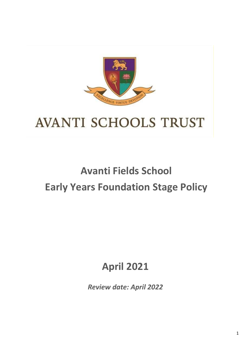

# **AVANTI SCHOOLS TRUST**

## **Avanti Fields School Early Years Foundation Stage Policy**

### **April 2021**

*Review date: April 2022*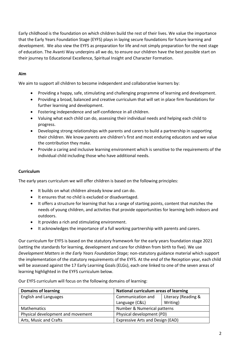Early childhood is the foundation on which children build the rest of their lives. We value the importance that the Early Years Foundation Stage (EYFS) plays in laying secure foundations for future learning and development. We also view the EYFS as preparation for life and not simply preparation for the next stage of education. The Avanti Way underpins all we do, to ensure our children have the best possible start on their journey to Educational Excellence, Spiritual Insight and Character Formation.

#### **Aim**

We aim to support all children to become independent and collaborative learners by:

- Providing a happy, safe, stimulating and challenging programme of learning and development.
- Providing a broad, balanced and creative curriculum that will set in place firm foundations for further learning and development.
- Fostering independence and self-confidence in all children.
- Valuing what each child can do, assessing their individual needs and helping each child to progress.
- Developing strong relationships with parents and carers to build a partnership in supporting their children. We know parents are children's first and most enduring educators and we value the contribution they make.
- Provide a caring and inclusive learning environment which is sensitive to the requirements of the individual child including those who have additional needs.

#### **Curriculum**

The early years curriculum we will offer children is based on the following principles:

- It builds on what children already know and can do.
- It ensures that no child is excluded or disadvantaged.
- It offers a structure for learning that has a range of starting points, content that matches the needs of young children, and activities that provide opportunities for learning both indoors and outdoors.
- It provides a rich and stimulating environment.
- It acknowledges the importance of a full working partnership with parents and carers.

Our curriculum for EYFS is based on the statutory framework for the early years foundation stage 2021 (setting the standards for learning, development and care for children from birth to five). We use *Development Matters in the Early Years Foundation Stage;* non-statutory guidance material which support the implementation of the statutory requirements of the EYFS. At the end of the Reception year, each child will be assessed against the 17 Early Learning Goals (ELGs), each one linked to one of the seven areas of learning highlighted in the EYFS curriculum below.

Our EYFS curriculum will focus on the following domains of learning:

| <b>Domains of learning</b>        | <b>National curriculum areas of learning</b> |                     |
|-----------------------------------|----------------------------------------------|---------------------|
| <b>English and Languages</b>      | Communication and                            | Literacy (Reading & |
|                                   | Language (C&L)                               | Writing)            |
| <b>Mathematics</b>                | Number & Numerical patterns                  |                     |
| Physical development and movement | Physical development (PD)                    |                     |
| Arts, Music and Crafts            | Expressive Arts and Design (EAD)             |                     |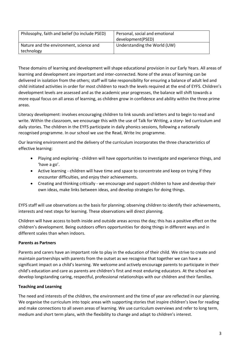| Philosophy, faith and belief (to include PSED)        | Personal, social and emotional<br>development(PSED) |
|-------------------------------------------------------|-----------------------------------------------------|
| Nature and the environment, science and<br>technology | Understanding the World (UW)                        |

These domains of learning and development will shape educational provision in our Early Years. All areas of learning and development are important and inter-connected. None of the areas of learning can be delivered in isolation from the others; staff will take responsibility for ensuring a balance of adult led and child initiated activities in order for most children to reach the levels required at the end of EYFS. Children's development levels are assessed and as the academic year progresses, the balance will shift towards a more equal focus on all areas of learning, as children grow in confidence and ability within the three prime areas.

Literacy development: involves encouraging children to link sounds and letters and to begin to read and write. Within the classroom, we encourage this with the use of Talk for Writing, a story- led curriculum and daily stories. The children in the EYFS participate in daily phonics sessions, following a nationally recognised programme. In our school we use the Read, Write Inc programme.

Our learning environment and the delivery of the curriculum incorporates the three characteristics of effective learning:

- Playing and exploring children will have opportunities to investigate and experience things, and 'have a go'.
- Active learning children will have time and space to concentrate and keep on trying if they encounter difficulties, and enjoy their achievements.
- Creating and thinking critically we encourage and support children to have and develop their own ideas, make links between ideas, and develop strategies for doing things.

EYFS staff will use observations as the basis for planning; observing children to identify their achievements, interests and next steps for learning. These observations will direct planning.

Children will have access to both inside and outside areas across the day; this has a positive effect on the children's development. Being outdoors offers opportunities for doing things in different ways and in different scales than when indoors.

#### **Parents as Partners**

Parents and carers have an important role to play in the education of their child. We strive to create and maintain partnerships with parents from the outset as we recognise that together we can have a significant impact on a child's learning. We welcome and actively encourage parents to participate in their child's education and care as parents are children's first and most enduring educators. At the school we develop longstanding caring, respectful, professional relationships with our children and their families.

#### **Teaching and Learning**

The need and interests of the children, the environment and the time of year are reflected in our planning. We organise the curriculum into topic areas with supporting stories that inspire children's love for reading and make connections to all seven areas of learning. We use curriculum overviews and refer to long term, medium and short term plans, with the flexibility to change and adapt to children's interest.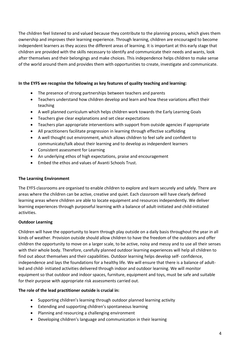The children feel listened to and valued because they contribute to the planning process, which gives them ownership and improves their learning experience. Through learning, children are encouraged to become independent learners as they access the different areas of learning. It is important at this early stage that children are provided with the skills necessary to identify and communicate their needs and wants, look after themselves and their belongings and make choices. This independence helps children to make sense of the world around them and provides them with opportunities to create, investigate and communicate.

#### **In the EYFS we recognise the following as key features of quality teaching and learning:**

- The presence of strong partnerships between teachers and parents
- Teachers understand how children develop and learn and how these variations affect their teaching
- A well planned curriculum which helps children work towards the Early Learning Goals
- Teachers give clear explanations and set clear expectations
- Teachers plan appropriate interventions with support from outside agencies if appropriate
- All practitioners facilitate progression in learning through effective scaffolding
- A well thought out environment, which allows children to feel safe and confident to communicate/talk about their learning and to develop as independent learners
- Consistent assessment for Learning
- An underlying ethos of high expectations, praise and encouragement
- Embed the ethos and values of Avanti Schools Trust.

#### **The Learning Environment**

The EYFS classrooms are organised to enable children to explore and learn securely and safely. There are areas where the children can be active, creative and quiet. Each classroom will have clearly defined learning areas where children are able to locate equipment and resources independently. We deliver learning experiences through purposeful learning with a balance of adult-initiated and child-initiated activities.

#### **Outdoor Learning**

Children will have the opportunity to learn through play outside on a daily basis throughout the year in all kinds of weather. Provision outside should allow children to have the freedom of the outdoors and offer children the opportunity to move on a larger scale, to be active, noisy and messy and to use all their senses with their whole body. Therefore, carefully planned outdoor learning experiences will help all children to find out about themselves and their capabilities. Outdoor learning helps develop self- confidence, independence and lays the foundations for a healthy life. We will ensure that there is a balance of adultled and child- initiated activities delivered through indoor and outdoor learning. We will monitor equipment so that outdoor and indoor spaces, furniture, equipment and toys, must be safe and suitable for their purpose with appropriate risk assessments carried out.

#### **The role of the lead practitioner outside is crucial in:**

- Supporting children's learning through outdoor planned learning activity
- Extending and supporting children's spontaneous learning
- Planning and resourcing a challenging environment
- Developing children's language and communication in their learning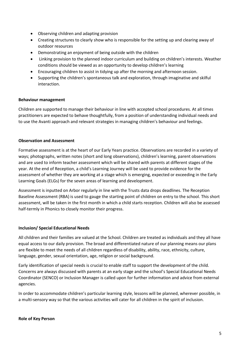- Observing children and adapting provision
- Creating structures to clearly show who is responsible for the setting up and clearing away of outdoor resources
- Demonstrating an enjoyment of being outside with the children
- Linking provision to the planned indoor curriculum and building on children's interests. Weather conditions should be viewed as an opportunity to develop children's learning
- Encouraging children to assist in tidying up after the morning and afternoon session.
- Supporting the children's spontaneous talk and exploration, through imaginative and skilful interaction.

#### **Behaviour management**

Children are supported to manage their behaviour in line with accepted school procedures. At all times practitioners are expected to behave thoughtfully, from a position of understanding individual needs and to use the Avanti approach and relevant strategies in managing children's behaviour and feelings.

#### **Observation and Assessment**

Formative assessment is at the heart of our Early Years practice. Observations are recorded in a variety of ways; photographs, written notes (short and long observations), children's learning, parent observations and are used to inform teacher assessment which will be shared with parents at different stages of the year. At the end of Reception, a child's Learning Journey will be used to provide evidence for the assessment of whether they are working at a stage which is emerging, expected or exceeding in the Early Learning Goals (ELGs) for the seven areas of learning and development.

Assessment is inputted on Arbor regularly in line with the Trusts data drops deadlines. The Reception Baseline Assessment (RBA) is used to gauge the starting point of children on entry to the school. This short assessment, will be taken in the first month in which a child starts reception. Children will also be assessed half-termly in Phonics to closely monitor their progress.

#### **Inclusion/ Special Educational Needs**

All children and their families are valued at the School. Children are treated as individuals and they all have equal access to our daily provision. The broad and differentiated nature of our planning means our plans are flexible to meet the needs of all children regardless of disability, ability, race, ethnicity, culture, language, gender, sexual orientation, age, religion or social background.

Early identification of special needs is crucial to enable staff to support the development of the child. Concerns are always discussed with parents at an early stage and the school's Special Educational Needs Coordinator (SENCO) or Inclusion Manager is called upon for further information and advice from external agencies.

In order to accommodate children's particular learning style, lessons will be planned, wherever possible, in a multi-sensory way so that the various activities will cater for all children in the spirit of inclusion.

#### **Role of Key Person**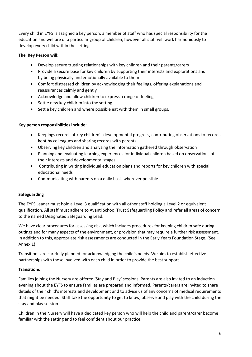Every child in EYFS is assigned a key person; a member of staff who has special responsibility for the education and welfare of a particular group of children, however all staff will work harmoniously to develop every child within the setting.

#### **The Key Person will:**

- Develop secure trusting relationships with key children and their parents/carers
- Provide a secure base for key children by supporting their interests and explorations and by being physically and emotionally available to them
- Comfort distressed children by acknowledging their feelings, offering explanations and reassurances calmly and gently
- Acknowledge and allow children to express a range of feelings
- Settle new key children into the setting
- Settle key children and where possible eat with them in small groups.

#### **Key person responsibilities include:**

- Keepings records of key children's developmental progress, contributing observations to records kept by colleagues and sharing records with parents
- Observing key children and analysing the information gathered through observation
- Planning and evaluating learning experiences for individual children based on observations of their interests and developmental stages
- Contributing in writing individual education plans and reports for key children with special educational needs
- Communicating with parents on a daily basis wherever possible.

#### **Safeguarding**

The EYFS Leader must hold a Level 3 qualification with all other staff holding a Level 2 or equivalent qualification. All staff must adhere to Avanti School Trust Safeguarding Policy and refer all areas of concern to the named Designated Safeguarding Lead.

We have clear procedures for assessing risk, which includes procedures for keeping children safe during outings and for many aspects of the environment, or provision that may require a further risk assessment. In addition to this, appropriate risk assessments are conducted in the Early Years Foundation Stage. (See Annex 1)

Transitions are carefully planned for acknowledging the child's needs. We aim to establish effective partnerships with those involved with each child in order to provide the best support.

#### **Transitions**

Families joining the Nursery are offered 'Stay and Play' sessions. Parents are also invited to an induction evening about the EYFS to ensure families are prepared and informed. Parents/carers are invited to share details of their child's interests and development and to advise us of any concerns of medical requirements that might be needed. Staff take the opportunity to get to know, observe and play with the child during the stay and play session.

Children in the Nursery will have a dedicated key person who will help the child and parent/carer become familiar with the setting and to feel confident about our practice.